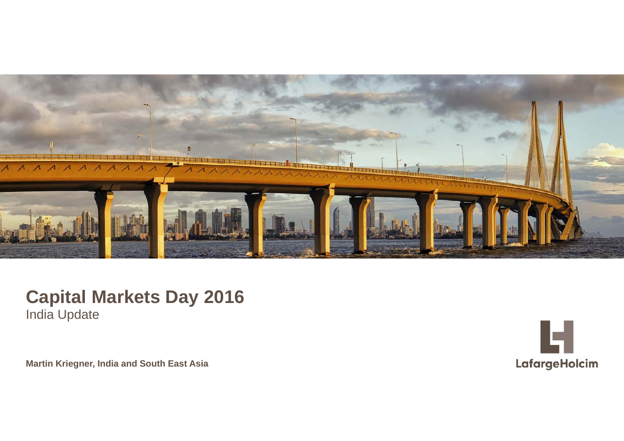

#### **Capital Markets Day 2016** India Update

Martin Kriegner, India and South East Asia

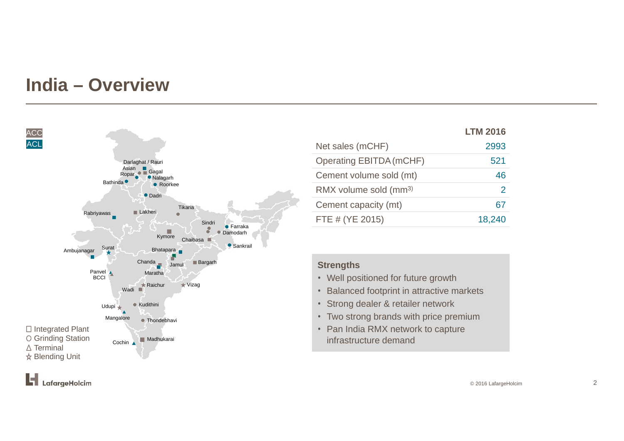#### **India – Overview**



|                                   | <b>LTM 2016</b> |
|-----------------------------------|-----------------|
| Net sales (mCHF)                  | 2993            |
| <b>Operating EBITDA (mCHF)</b>    | 521             |
| Cement volume sold (mt)           | 46              |
| RMX volume sold (mm <sup>3)</sup> | 2               |
| Cement capacity (mt)              | 67              |
| FTE # (YE 2015)                   | 18,240          |

#### **Strengths**

- Well positioned for future growth
- Balanced footprint in attractive markets
- Strong dealer & retailer network
- Two strong brands with price premium
- Pan India RMX network to capture infrastructure demand

Ist. LafargeHolcim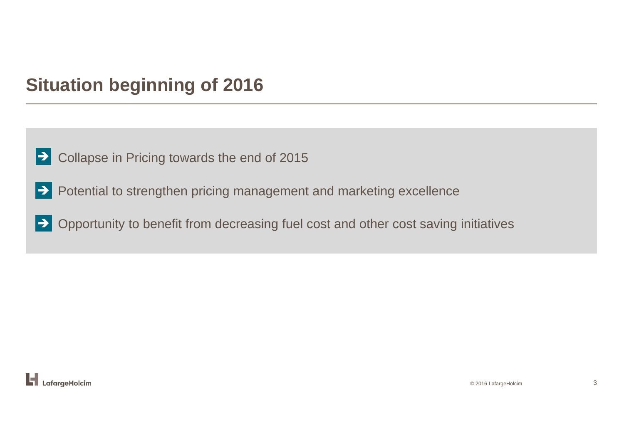### **Situation beginning of 2016**

- $\geq$  Collapse in Pricing towards the end of 2015
- Potential to strengthen pricing management and marketing excellence
- Opportunity to benefit from decreasing fuel cost and other cost saving initiatives

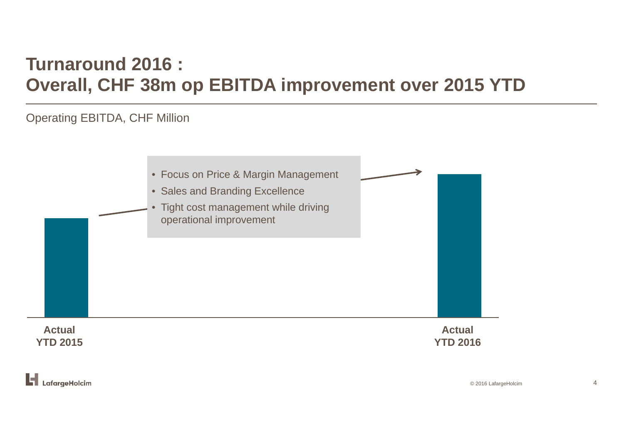# **Turnaround 2016 : Overall, CHF 38m op EBITDA improvement over 2015 YTD**

#### Operating EBITDA, CHF Million

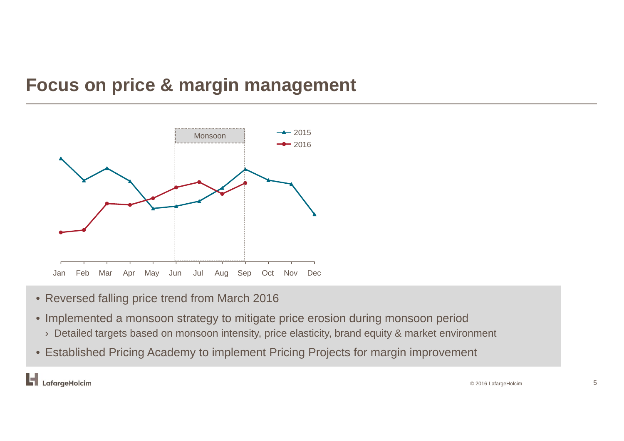#### **Focus on price & margin management**



- Reversed falling price trend from March 2016
- Implemented a monsoon strategy to mitigate price erosion during monsoon period
	- $\rightarrow$  Detailed targets based on monsoon intensity, price elasticity, brand equity & market environment
- Established Pricing Academy to implement Pricing Projects for margin improvement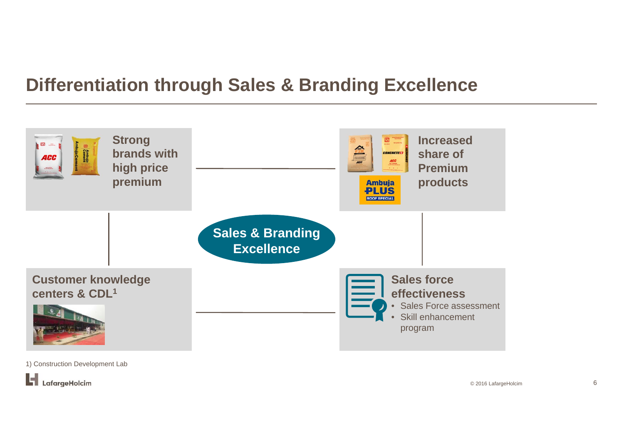#### **Differentiation through Sales & Branding Excellence**



1) Construction Development Lab

L, LafargeHolcim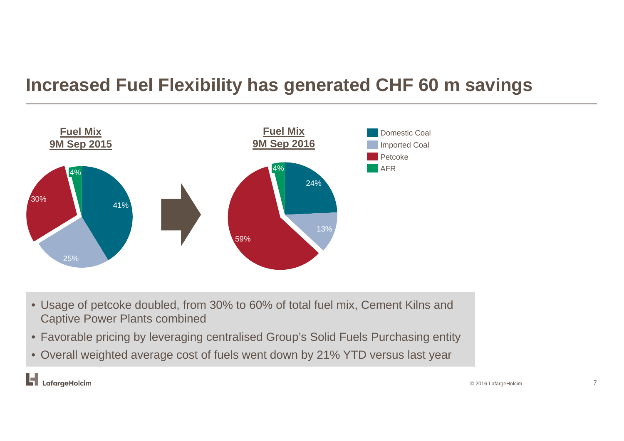# **Increased Fuel Flexibility has generated CHF 60 m savings**



- Usage of petcoke doubled, from 30% to 60% of total fuel mix, Cement Kilns and Captive Power Plants combined
- Favorable pricing by leveraging centralised Group's Solid Fuels Purchasing entity
- Overall weighted average cost of fuels went down by 21% YTD versus last year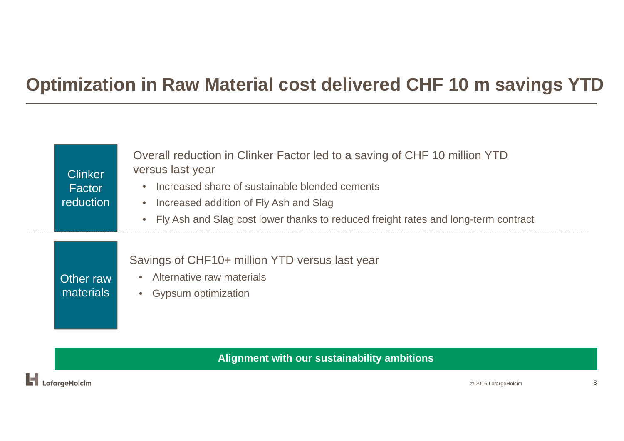#### **Optimization in Raw Material cost delivered CHF 10 m savings YTD**

| <b>Clinker</b><br>Factor<br>reduction | Overall reduction in Clinker Factor led to a saving of CHF 10 million YTD<br>versus last year<br>Increased share of sustainable blended cements<br>Increased addition of Fly Ash and Slag<br>Fly Ash and Slag cost lower thanks to reduced freight rates and long-term contract |
|---------------------------------------|---------------------------------------------------------------------------------------------------------------------------------------------------------------------------------------------------------------------------------------------------------------------------------|
| Other raw<br>materials                | Savings of CHF10+ million YTD versus last year<br>Alternative raw materials<br>• Gypsum optimization                                                                                                                                                                            |

**Alignment with our sustainability ambitions**